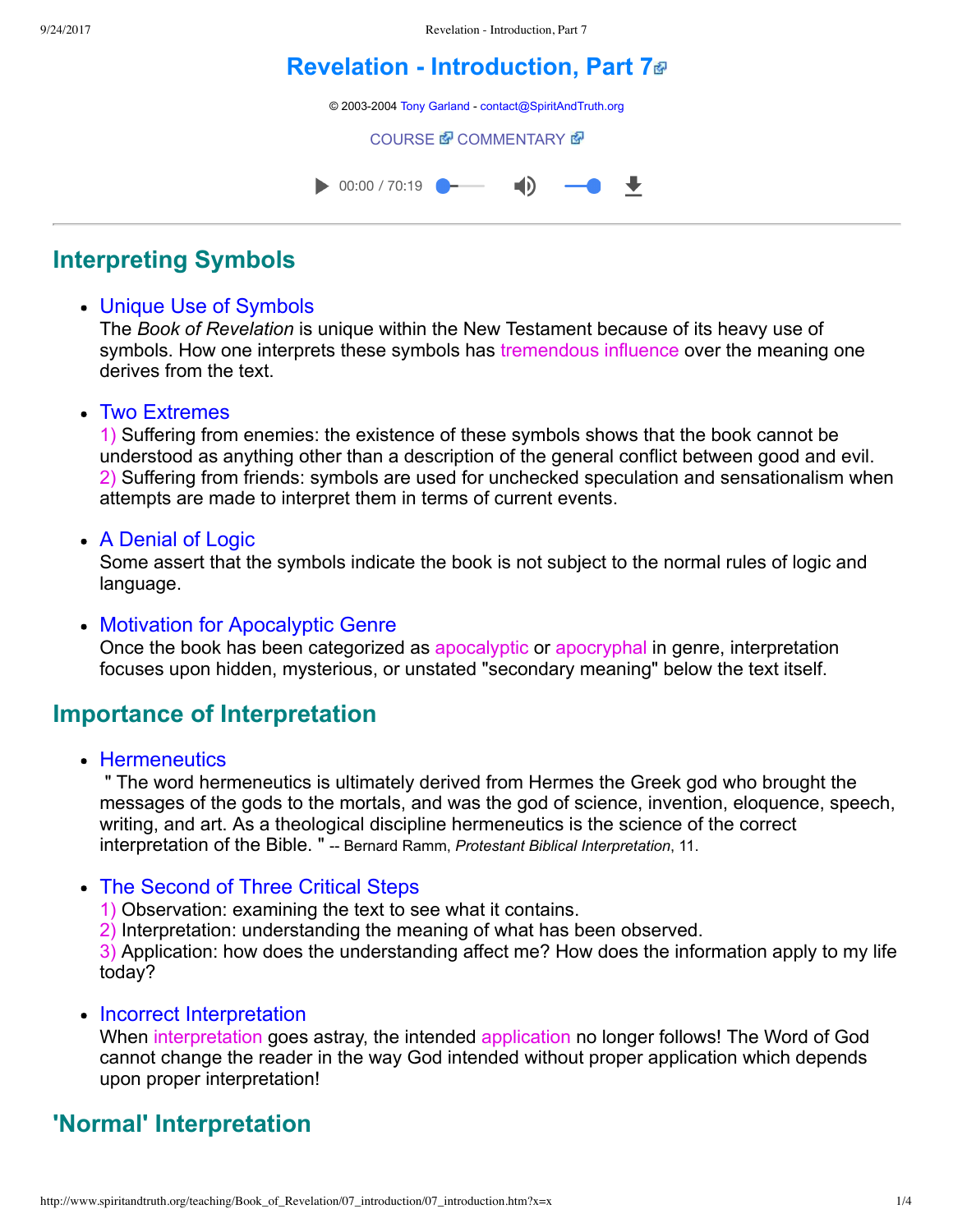# **[Revelation Introduction, Part 7](http://www.spiritandtruth.org/teaching/Book_of_Revelation/07_introduction/index.htm)**

© 2003-2004 [Tony Garland](http://www.spiritandtruth.org/teaching/teachers/tony_garland/bio.htm) - [contact@SpiritAndTruth.org](mailto:contact@SpiritAndTruth.org?subject=ST-MAIL:%20Revelation%20-%20Introduction,%20Part%207)

**[COURSE](http://www.spiritandtruth.org/teaching/Book_of_Revelation/07_introduction/index.htm) 配 [COMMENTARY](http://www.spiritandtruth.org/teaching/Book_of_Revelation/commentary/htm/index.html?Introduction) 图** 



## **Interpreting Symbols**

### Unique Use of Symbols

The *Book of Revelation* is unique within the New Testament because of its heavy use of symbols. How one interprets these symbols has tremendous influence over the meaning one derives from the text.

#### • Two Extremes

1) Suffering from enemies: the existence of these symbols shows that the book cannot be understood as anything other than a description of the general conflict between good and evil. 2) Suffering from friends: symbols are used for unchecked speculation and sensationalism when attempts are made to interpret them in terms of current events.

### • A Denial of Logic

Some assert that the symbols indicate the book is not subject to the normal rules of logic and language.

#### • Motivation for Apocalyptic Genre

Once the book has been categorized as apocalyptic or apocryphal in genre, interpretation focuses upon hidden, mysterious, or unstated "secondary meaning" below the text itself.

## **Importance of Interpretation**

• Hermeneutics

 " The word hermeneutics is ultimately derived from Hermes the Greek god who brought the messages of the gods to the mortals, and was the god of science, invention, eloquence, speech, writing, and art. As a theological discipline hermeneutics is the science of the correct interpretation of the Bible. " -- Bernard Ramm, *Protestant Biblical Interpretation*, 11.

### • The Second of Three Critical Steps

1) Observation: examining the text to see what it contains.

2) Interpretation: understanding the meaning of what has been observed.

3) Application: how does the understanding affect me? How does the information apply to my life today?

### • Incorrect Interpretation

When interpretation goes astray, the intended application no longer follows! The Word of God cannot change the reader in the way God intended without proper application which depends upon proper interpretation!

## **'Normal' Interpretation**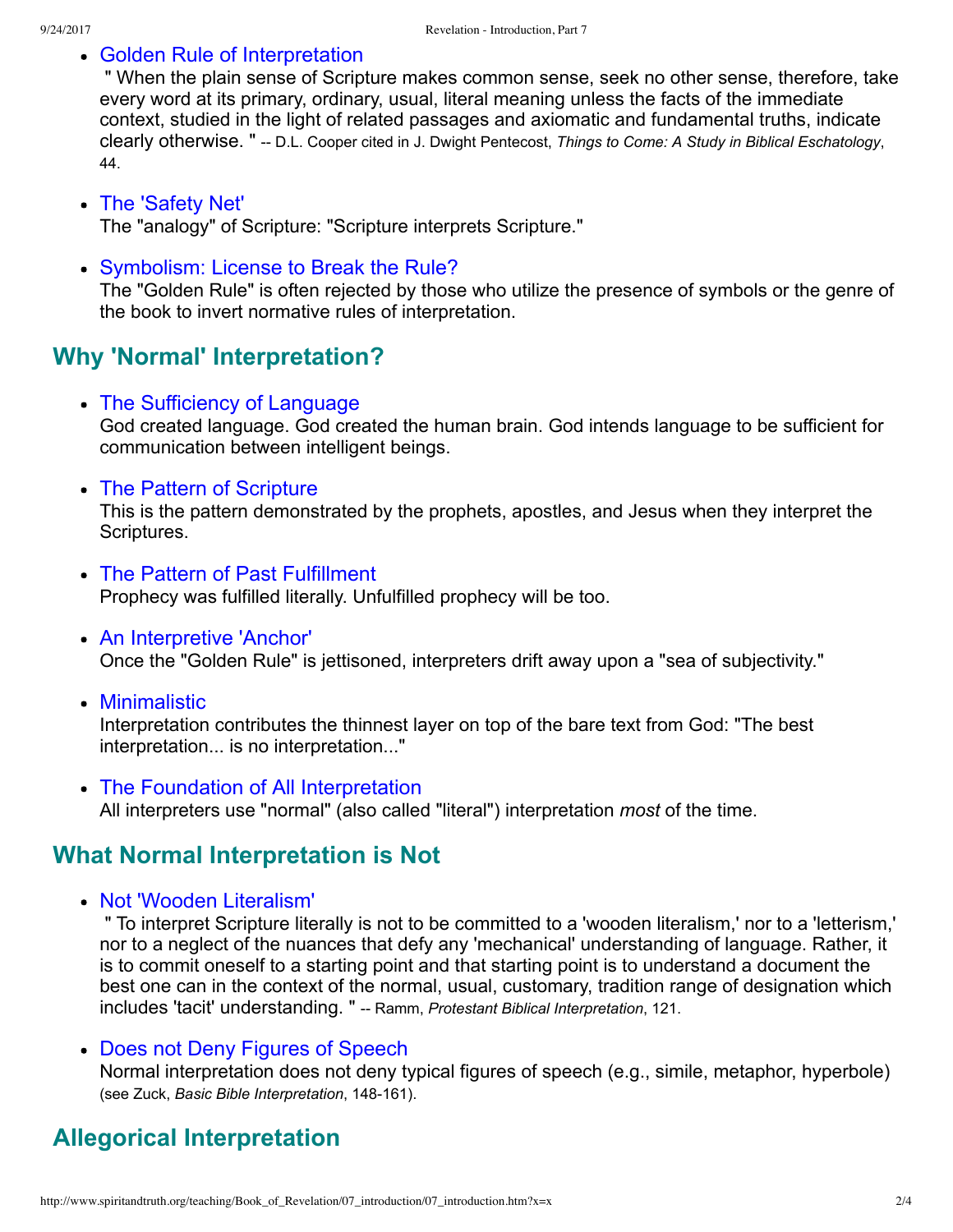#### Golden Rule of Interpretation

 " When the plain sense of Scripture makes common sense, seek no other sense, therefore, take every word at its primary, ordinary, usual, literal meaning unless the facts of the immediate context, studied in the light of related passages and axiomatic and fundamental truths, indicate clearly otherwise. " -- D.L. Cooper cited in J. Dwight Pentecost, *Things to Come: A Study in Biblical Eschatology*, 44.

#### The 'Safety Net' The "analogy" of Scripture: "Scripture interprets Scripture."

Symbolism: License to Break the Rule?

The "Golden Rule" is often rejected by those who utilize the presence of symbols or the genre of the book to invert normative rules of interpretation.

## **Why 'Normal' Interpretation?**

- The Sufficiency of Language God created language. God created the human brain. God intends language to be sufficient for communication between intelligent beings.
- The Pattern of Scripture

This is the pattern demonstrated by the prophets, apostles, and Jesus when they interpret the Scriptures.

- The Pattern of Past Fulfillment Prophecy was fulfilled literally. Unfulfilled prophecy will be too.
- An Interpretive 'Anchor' Once the "Golden Rule" is jettisoned, interpreters drift away upon a "sea of subjectivity."
- Minimalistic

Interpretation contributes the thinnest layer on top of the bare text from God: "The best interpretation... is no interpretation..."

The Foundation of All Interpretation All interpreters use "normal" (also called "literal") interpretation *most* of the time.

## **What Normal Interpretation is Not**

• Not 'Wooden Literalism'

 " To interpret Scripture literally is not to be committed to a 'wooden literalism,' nor to a 'letterism,' nor to a neglect of the nuances that defy any 'mechanical' understanding of language. Rather, it is to commit oneself to a starting point and that starting point is to understand a document the best one can in the context of the normal, usual, customary, tradition range of designation which includes 'tacit' understanding. " -- Ramm, *Protestant Biblical Interpretation*, 121.

Does not Deny Figures of Speech

Normal interpretation does not deny typical figures of speech (e.g., simile, metaphor, hyperbole) (see Zuck, Basic Bible Interpretation, 148-161).

## **Allegorical Interpretation**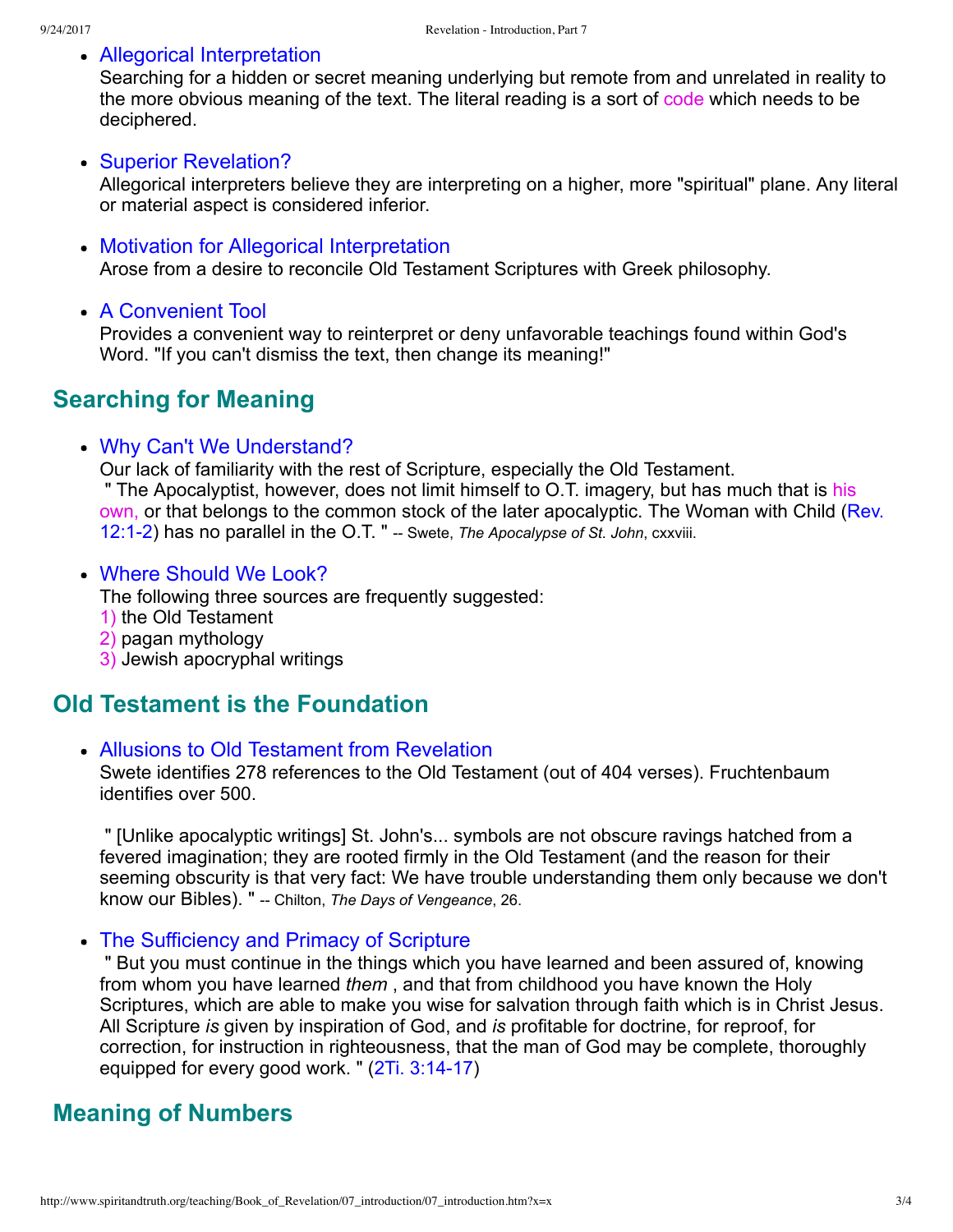#### Allegorical Interpretation

Searching for a hidden or secret meaning underlying but remote from and unrelated in reality to the more obvious meaning of the text. The literal reading is a sort of code which needs to be deciphered.

#### Superior Revelation?

Allegorical interpreters believe they are interpreting on a higher, more "spiritual" plane. Any literal or material aspect is considered inferior.

#### Motivation for Allegorical Interpretation

Arose from a desire to reconcile Old Testament Scriptures with Greek philosophy.

• A Convenient Tool

Provides a convenient way to reinterpret or deny unfavorable teachings found within God's Word. "If you can't dismiss the text, then change its meaning!"

## **Searching for Meaning**

#### Why Can't We Understand?

Our lack of familiarity with the rest of Scripture, especially the Old Testament. " The Apocalyptist, however, does not limit himself to O.T. imagery, but has much that is his [own, or that belongs to the common stock of the later apocalyptic. The Woman with Child \(Rev.](http://www.spiritandtruth.org/bibles/nasb/b66c012.htm#Rev._C12V1) 12:1-2) has no parallel in the O.T. " -- Swete, *The Apocalypse of St. John*, cxxviii.

#### Where Should We Look?

The following three sources are frequently suggested:

- 1) the Old Testament
- 2) pagan mythology
- 3) Jewish apocryphal writings

## **Old Testament is the Foundation**

#### Allusions to Old Testament from Revelation

Swete identifies 278 references to the Old Testament (out of 404 verses). Fruchtenbaum identifies over 500.

 " [Unlike apocalyptic writings] St. John's... symbols are not obscure ravings hatched from a fevered imagination; they are rooted firmly in the Old Testament (and the reason for their seeming obscurity is that very fact: We have trouble understanding them only because we don't know our Bibles). " Chilton, *The Days of Vengeance*, 26.

The Sufficiency and Primacy of Scripture

 " But you must continue in the things which you have learned and been assured of, knowing from whom you have learned *them* , and that from childhood you have known the Holy Scriptures, which are able to make you wise for salvation through faith which is in Christ Jesus. All Scripture *is* given by inspiration of God, and *is* profitable for doctrine, for reproof, for correction, for instruction in righteousness, that the man of God may be complete, thoroughly equipped for every good work. " (2Ti. 3:14-17)

### **Meaning of Numbers**